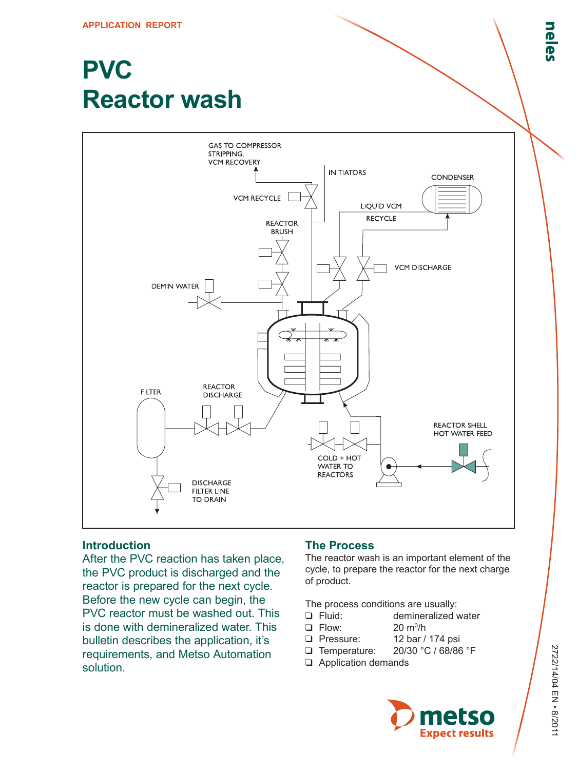# **PVC Reactor wash**



## **Introduction**

After the PVC reaction has taken place, the PVC product is discharged and the reactor is prepared for the next cycle. Before the new cycle can begin, the PVC reactor must be washed out. This is done with demineralized water. This bulletin describes the application, it's requirements, and Metso Automation solution.

## **The Process**

The reactor wash is an important element of the cycle, to prepare the reactor for the next charge of product.

 $20 \text{ m}^3/h$ 

The process conditions are usually:

- ❑ Fluid: demineralized water
- □ Flow:
- ❑ Pressure: 12 bar / 174 psi
- ❑ Temperature: 20/30 °C / 68/86 °F
- ❑ Application demands